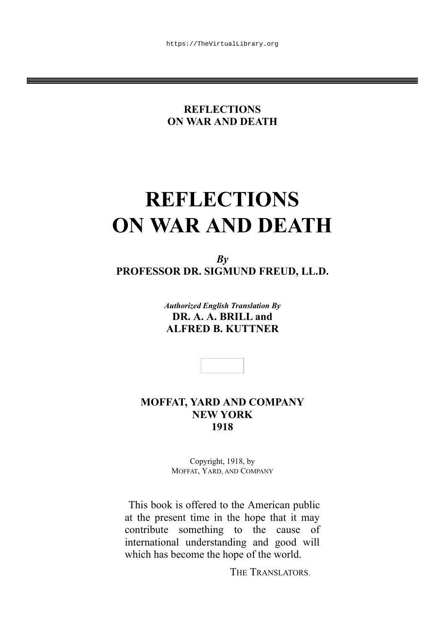#### **REFLECTIONS ON WAR AND DEATH**

# **REFLECTIONS ON WAR AND DEATH**

*By* **PROFESSOR DR. SIGMUND FREUD, LL.D.**

> *Authorized English Translation By* **DR. A. A. BRILL and ALFRED B. KUTTNER**

**MOFFAT, YARD AND COMPANY NEW YORK 1918**

> Copyright, 1918, by MOFFAT, YARD, AND COMPANY

This book is offered to the American public at the present time in the hope that it may contribute something to the cause of international understanding and good will which has become the hope of the world.

THE TRANSLATORS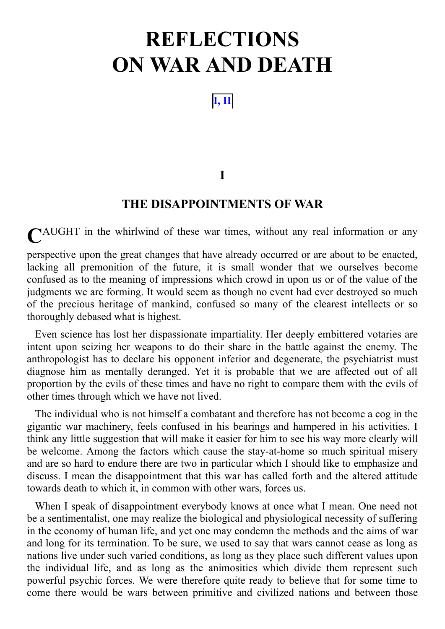## **REFLECTIONS ON WAR AND DEATH**

**I, II**

#### **I**

#### **THE DISAPPOINTMENTS OF WAR**

**C**AUGHT in the whirlwind of these war times, without any real information or any

perspective upon the great changes that have already occurred or are about to be enacted, lacking all premonition of the future, it is small wonder that we ourselves become confused as to the meaning of impressions which crowd in upon us or of the value of the judgments we are forming. It would seem as though no event had ever destroyed so much of the precious heritage of mankind, confused so many of the clearest intellects or so thoroughly debased what is highest.

Even science has lost her dispassionate impartiality. Her deeply embittered votaries are intent upon seizing her weapons to do their share in the battle against the enemy. The anthropologist has to declare his opponent inferior and degenerate, the psychiatrist must diagnose him as mentally deranged. Yet it is probable that we are affected out of all proportion by the evils of these times and have no right to compare them with the evils of other times through which we have not lived.

The individual who is not himself a combatant and therefore has not become a cog in the gigantic war machinery, feels confused in his bearings and hampered in his activities. I think any little suggestion that will make it easier for him to see his way more clearly will be welcome. Among the factors which cause the stay-at-home so much spiritual misery and are so hard to endure there are two in particular which I should like to emphasize and discuss. I mean the disappointment that this war has called forth and the altered attitude towards death to which it, in common with other wars, forces us.

When I speak of disappointment everybody knows at once what I mean. One need not be a sentimentalist, one may realize the biological and physiological necessity of suffering in the economy of human life, and yet one may condemn the methods and the aims of war and long for its termination. To be sure, we used to say that wars cannot cease as long as nations live under such varied conditions, as long as they place such different values upon the individual life, and as long as the animosities which divide them represent such powerful psychic forces. We were therefore quite ready to believe that for some time to come there would be wars between primitive and civilized nations and between those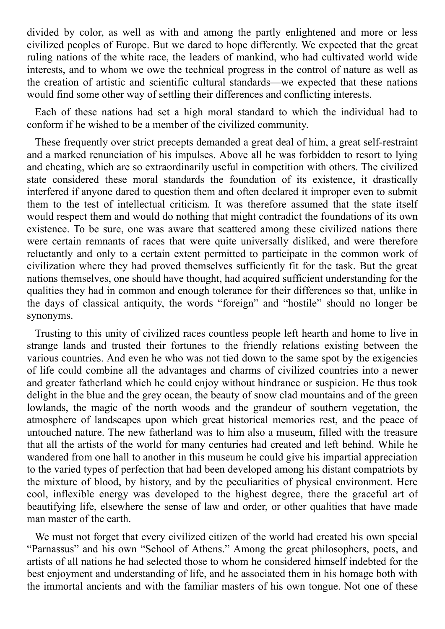divided by color, as well as with and among the partly enlightened and more or less civilized peoples of Europe. But we dared to hope differently. We expected that the great ruling nations of the white race, the leaders of mankind, who had cultivated world wide interests, and to whom we owe the technical progress in the control of nature as well as the creation of artistic and scientific cultural standards—we expected that these nations would find some other way of settling their differences and conflicting interests.

Each of these nations had set a high moral standard to which the individual had to conform if he wished to be a member of the civilized community.

These frequently over strict precepts demanded a great deal of him, a great self-restraint and a marked renunciation of his impulses. Above all he was forbidden to resort to lying and cheating, which are so extraordinarily useful in competition with others. The civilized state considered these moral standards the foundation of its existence, it drastically interfered if anyone dared to question them and often declared it improper even to submit them to the test of intellectual criticism. It was therefore assumed that the state itself would respect them and would do nothing that might contradict the foundations of its own existence. To be sure, one was aware that scattered among these civilized nations there were certain remnants of races that were quite universally disliked, and were therefore reluctantly and only to a certain extent permitted to participate in the common work of civilization where they had proved themselves sufficiently fit for the task. But the great nations themselves, one should have thought, had acquired sufficient understanding for the qualities they had in common and enough tolerance for their differences so that, unlike in the days of classical antiquity, the words "foreign" and "hostile" should no longer be synonyms.

Trusting to this unity of civilized races countless people left hearth and home to live in strange lands and trusted their fortunes to the friendly relations existing between the various countries. And even he who was not tied down to the same spot by the exigencies of life could combine all the advantages and charms of civilized countries into a newer and greater fatherland which he could enjoy without hindrance or suspicion. He thus took delight in the blue and the grey ocean, the beauty of snow clad mountains and of the green lowlands, the magic of the north woods and the grandeur of southern vegetation, the atmosphere of landscapes upon which great historical memories rest, and the peace of untouched nature. The new fatherland was to him also a museum, filled with the treasure that all the artists of the world for many centuries had created and left behind. While he wandered from one hall to another in this museum he could give his impartial appreciation to the varied types of perfection that had been developed among his distant compatriots by the mixture of blood, by history, and by the peculiarities of physical environment. Here cool, inflexible energy was developed to the highest degree, there the graceful art of beautifying life, elsewhere the sense of law and order, or other qualities that have made man master of the earth.

We must not forget that every civilized citizen of the world had created his own special "Parnassus" and his own "School of Athens." Among the great philosophers, poets, and artists of all nations he had selected those to whom he considered himself indebted for the best enjoyment and understanding of life, and he associated them in his homage both with the immortal ancients and with the familiar masters of his own tongue. Not one of these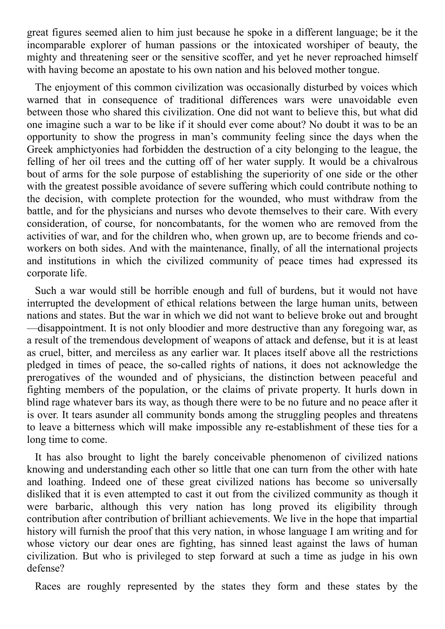great figures seemed alien to him just because he spoke in a different language; be it the incomparable explorer of human passions or the intoxicated worshiper of beauty, the mighty and threatening seer or the sensitive scoffer, and yet he never reproached himself with having become an apostate to his own nation and his beloved mother tongue.

The enjoyment of this common civilization was occasionally disturbed by voices which warned that in consequence of traditional differences wars were unavoidable even between those who shared this civilization. One did not want to believe this, but what did one imagine such a war to be like if it should ever come about? No doubt it was to be an opportunity to show the progress in man's community feeling since the days when the Greek amphictyonies had forbidden the destruction of a city belonging to the league, the felling of her oil trees and the cutting off of her water supply. It would be a chivalrous bout of arms for the sole purpose of establishing the superiority of one side or the other with the greatest possible avoidance of severe suffering which could contribute nothing to the decision, with complete protection for the wounded, who must withdraw from the battle, and for the physicians and nurses who devote themselves to their care. With every consideration, of course, for noncombatants, for the women who are removed from the activities of war, and for the children who, when grown up, are to become friends and coworkers on both sides. And with the maintenance, finally, of all the international projects and institutions in which the civilized community of peace times had expressed its corporate life.

Such a war would still be horrible enough and full of burdens, but it would not have interrupted the development of ethical relations between the large human units, between nations and states. But the war in which we did not want to believe broke out and brought —disappointment. It is not only bloodier and more destructive than any foregoing war, as a result of the tremendous development of weapons of attack and defense, but it is at least as cruel, bitter, and merciless as any earlier war. It places itself above all the restrictions pledged in times of peace, the so-called rights of nations, it does not acknowledge the prerogatives of the wounded and of physicians, the distinction between peaceful and fighting members of the population, or the claims of private property. It hurls down in blind rage whatever bars its way, as though there were to be no future and no peace after it is over. It tears asunder all community bonds among the struggling peoples and threatens to leave a bitterness which will make impossible any re-establishment of these ties for a long time to come.

It has also brought to light the barely conceivable phenomenon of civilized nations knowing and understanding each other so little that one can turn from the other with hate and loathing. Indeed one of these great civilized nations has become so universally disliked that it is even attempted to cast it out from the civilized community as though it were barbaric, although this very nation has long proved its eligibility through contribution after contribution of brilliant achievements. We live in the hope that impartial history will furnish the proof that this very nation, in whose language I am writing and for whose victory our dear ones are fighting, has sinned least against the laws of human civilization. But who is privileged to step forward at such a time as judge in his own defense?

Races are roughly represented by the states they form and these states by the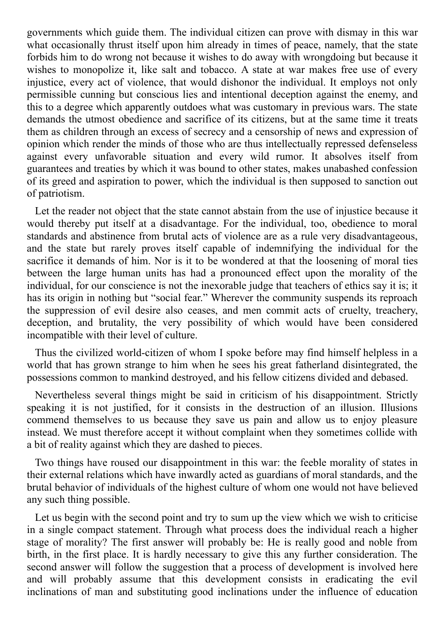governments which guide them. The individual citizen can prove with dismay in this war what occasionally thrust itself upon him already in times of peace, namely, that the state forbids him to do wrong not because it wishes to do away with wrongdoing but because it wishes to monopolize it, like salt and tobacco. A state at war makes free use of every injustice, every act of violence, that would dishonor the individual. It employs not only permissible cunning but conscious lies and intentional deception against the enemy, and this to a degree which apparently outdoes what was customary in previous wars. The state demands the utmost obedience and sacrifice of its citizens, but at the same time it treats them as children through an excess of secrecy and a censorship of news and expression of opinion which render the minds of those who are thus intellectually repressed defenseless against every unfavorable situation and every wild rumor. It absolves itself from guarantees and treaties by which it was bound to other states, makes unabashed confession of its greed and aspiration to power, which the individual is then supposed to sanction out of patriotism.

Let the reader not object that the state cannot abstain from the use of injustice because it would thereby put itself at a disadvantage. For the individual, too, obedience to moral standards and abstinence from brutal acts of violence are as a rule very disadvantageous, and the state but rarely proves itself capable of indemnifying the individual for the sacrifice it demands of him. Nor is it to be wondered at that the loosening of moral ties between the large human units has had a pronounced effect upon the morality of the individual, for our conscience is not the inexorable judge that teachers of ethics say it is; it has its origin in nothing but "social fear." Wherever the community suspends its reproach the suppression of evil desire also ceases, and men commit acts of cruelty, treachery, deception, and brutality, the very possibility of which would have been considered incompatible with their level of culture.

Thus the civilized world-citizen of whom I spoke before may find himself helpless in a world that has grown strange to him when he sees his great fatherland disintegrated, the possessions common to mankind destroyed, and his fellow citizens divided and debased.

Nevertheless several things might be said in criticism of his disappointment. Strictly speaking it is not justified, for it consists in the destruction of an illusion. Illusions commend themselves to us because they save us pain and allow us to enjoy pleasure instead. We must therefore accept it without complaint when they sometimes collide with a bit of reality against which they are dashed to pieces.

Two things have roused our disappointment in this war: the feeble morality of states in their external relations which have inwardly acted as guardians of moral standards, and the brutal behavior of individuals of the highest culture of whom one would not have believed any such thing possible.

Let us begin with the second point and try to sum up the view which we wish to criticise in a single compact statement. Through what process does the individual reach a higher stage of morality? The first answer will probably be: He is really good and noble from birth, in the first place. It is hardly necessary to give this any further consideration. The second answer will follow the suggestion that a process of development is involved here and will probably assume that this development consists in eradicating the evil inclinations of man and substituting good inclinations under the influence of education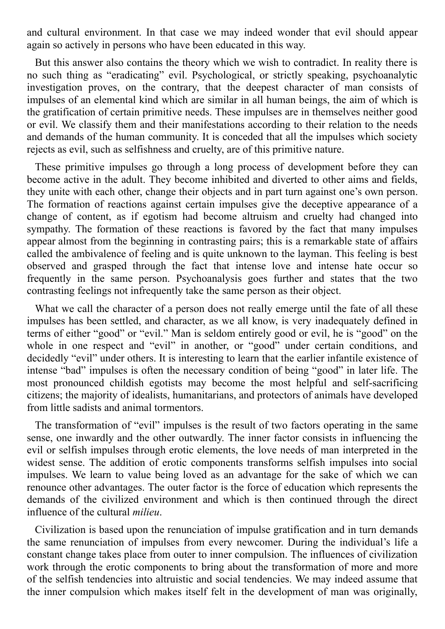and cultural environment. In that case we may indeed wonder that evil should appear again so actively in persons who have been educated in this way.

But this answer also contains the theory which we wish to contradict. In reality there is no such thing as "eradicating" evil. Psychological, or strictly speaking, psychoanalytic investigation proves, on the contrary, that the deepest character of man consists of impulses of an elemental kind which are similar in all human beings, the aim of which is the gratification of certain primitive needs. These impulses are in themselves neither good or evil. We classify them and their manifestations according to their relation to the needs and demands of the human community. It is conceded that all the impulses which society rejects as evil, such as selfishness and cruelty, are of this primitive nature.

These primitive impulses go through a long process of development before they can become active in the adult. They become inhibited and diverted to other aims and fields, they unite with each other, change their objects and in part turn against one's own person. The formation of reactions against certain impulses give the deceptive appearance of a change of content, as if egotism had become altruism and cruelty had changed into sympathy. The formation of these reactions is favored by the fact that many impulses appear almost from the beginning in contrasting pairs; this is a remarkable state of affairs called the ambivalence of feeling and is quite unknown to the layman. This feeling is best observed and grasped through the fact that intense love and intense hate occur so frequently in the same person. Psychoanalysis goes further and states that the two contrasting feelings not infrequently take the same person as their object.

What we call the character of a person does not really emerge until the fate of all these impulses has been settled, and character, as we all know, is very inadequately defined in terms of either "good" or "evil." Man is seldom entirely good or evil, he is "good" on the whole in one respect and "evil" in another, or "good" under certain conditions, and decidedly "evil" under others. It is interesting to learn that the earlier infantile existence of intense "bad" impulses is often the necessary condition of being "good" in later life. The most pronounced childish egotists may become the most helpful and self-sacrificing citizens; the majority of idealists, humanitarians, and protectors of animals have developed from little sadists and animal tormentors.

The transformation of "evil" impulses is the result of two factors operating in the same sense, one inwardly and the other outwardly. The inner factor consists in influencing the evil or selfish impulses through erotic elements, the love needs of man interpreted in the widest sense. The addition of erotic components transforms selfish impulses into social impulses. We learn to value being loved as an advantage for the sake of which we can renounce other advantages. The outer factor is the force of education which represents the demands of the civilized environment and which is then continued through the direct influence of the cultural *milieu*.

Civilization is based upon the renunciation of impulse gratification and in turn demands the same renunciation of impulses from every newcomer. During the individual's life a constant change takes place from outer to inner compulsion. The influences of civilization work through the erotic components to bring about the transformation of more and more of the selfish tendencies into altruistic and social tendencies. We may indeed assume that the inner compulsion which makes itself felt in the development of man was originally,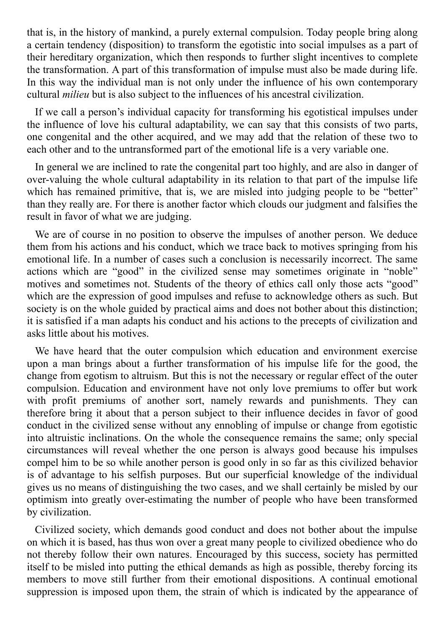that is, in the history of mankind, a purely external compulsion. Today people bring along a certain tendency (disposition) to transform the egotistic into social impulses as a part of their hereditary organization, which then responds to further slight incentives to complete the transformation. A part of this transformation of impulse must also be made during life. In this way the individual man is not only under the influence of his own contemporary cultural *milieu* but is also subject to the influences of his ancestral civilization.

If we call a person's individual capacity for transforming his egotistical impulses under the influence of love his cultural adaptability, we can say that this consists of two parts, one congenital and the other acquired, and we may add that the relation of these two to each other and to the untransformed part of the emotional life is a very variable one.

In general we are inclined to rate the congenital part too highly, and are also in danger of over-valuing the whole cultural adaptability in its relation to that part of the impulse life which has remained primitive, that is, we are misled into judging people to be "better" than they really are. For there is another factor which clouds our judgment and falsifies the result in favor of what we are judging.

We are of course in no position to observe the impulses of another person. We deduce them from his actions and his conduct, which we trace back to motives springing from his emotional life. In a number of cases such a conclusion is necessarily incorrect. The same actions which are "good" in the civilized sense may sometimes originate in "noble" motives and sometimes not. Students of the theory of ethics call only those acts "good" which are the expression of good impulses and refuse to acknowledge others as such. But society is on the whole guided by practical aims and does not bother about this distinction; it is satisfied if a man adapts his conduct and his actions to the precepts of civilization and asks little about his motives.

We have heard that the outer compulsion which education and environment exercise upon a man brings about a further transformation of his impulse life for the good, the change from egotism to altruism. But this is not the necessary or regular effect of the outer compulsion. Education and environment have not only love premiums to offer but work with profit premiums of another sort, namely rewards and punishments. They can therefore bring it about that a person subject to their influence decides in favor of good conduct in the civilized sense without any ennobling of impulse or change from egotistic into altruistic inclinations. On the whole the consequence remains the same; only special circumstances will reveal whether the one person is always good because his impulses compel him to be so while another person is good only in so far as this civilized behavior is of advantage to his selfish purposes. But our superficial knowledge of the individual gives us no means of distinguishing the two cases, and we shall certainly be misled by our optimism into greatly over-estimating the number of people who have been transformed by civilization.

Civilized society, which demands good conduct and does not bother about the impulse on which it is based, has thus won over a great many people to civilized obedience who do not thereby follow their own natures. Encouraged by this success, society has permitted itself to be misled into putting the ethical demands as high as possible, thereby forcing its members to move still further from their emotional dispositions. A continual emotional suppression is imposed upon them, the strain of which is indicated by the appearance of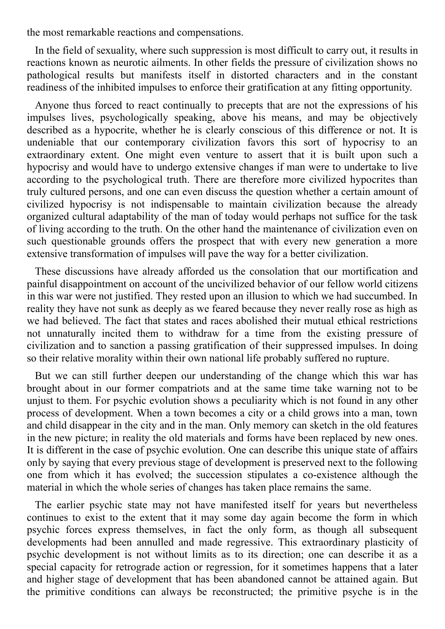the most remarkable reactions and compensations.

In the field of sexuality, where such suppression is most difficult to carry out, it results in reactions known as neurotic ailments. In other fields the pressure of civilization shows no pathological results but manifests itself in distorted characters and in the constant readiness of the inhibited impulses to enforce their gratification at any fitting opportunity.

Anyone thus forced to react continually to precepts that are not the expressions of his impulses lives, psychologically speaking, above his means, and may be objectively described as a hypocrite, whether he is clearly conscious of this difference or not. It is undeniable that our contemporary civilization favors this sort of hypocrisy to an extraordinary extent. One might even venture to assert that it is built upon such a hypocrisy and would have to undergo extensive changes if man were to undertake to live according to the psychological truth. There are therefore more civilized hypocrites than truly cultured persons, and one can even discuss the question whether a certain amount of civilized hypocrisy is not indispensable to maintain civilization because the already organized cultural adaptability of the man of today would perhaps not suffice for the task of living according to the truth. On the other hand the maintenance of civilization even on such questionable grounds offers the prospect that with every new generation a more extensive transformation of impulses will pave the way for a better civilization.

These discussions have already afforded us the consolation that our mortification and painful disappointment on account of the uncivilized behavior of our fellow world citizens in this war were not justified. They rested upon an illusion to which we had succumbed. In reality they have not sunk as deeply as we feared because they never really rose as high as we had believed. The fact that states and races abolished their mutual ethical restrictions not unnaturally incited them to withdraw for a time from the existing pressure of civilization and to sanction a passing gratification of their suppressed impulses. In doing so their relative morality within their own national life probably suffered no rupture.

But we can still further deepen our understanding of the change which this war has brought about in our former compatriots and at the same time take warning not to be unjust to them. For psychic evolution shows a peculiarity which is not found in any other process of development. When a town becomes a city or a child grows into a man, town and child disappear in the city and in the man. Only memory can sketch in the old features in the new picture; in reality the old materials and forms have been replaced by new ones. It is different in the case of psychic evolution. One can describe this unique state of affairs only by saying that every previous stage of development is preserved next to the following one from which it has evolved; the succession stipulates a co-existence although the material in which the whole series of changes has taken place remains the same.

The earlier psychic state may not have manifested itself for years but nevertheless continues to exist to the extent that it may some day again become the form in which psychic forces express themselves, in fact the only form, as though all subsequent developments had been annulled and made regressive. This extraordinary plasticity of psychic development is not without limits as to its direction; one can describe it as a special capacity for retrograde action or regression, for it sometimes happens that a later and higher stage of development that has been abandoned cannot be attained again. But the primitive conditions can always be reconstructed; the primitive psyche is in the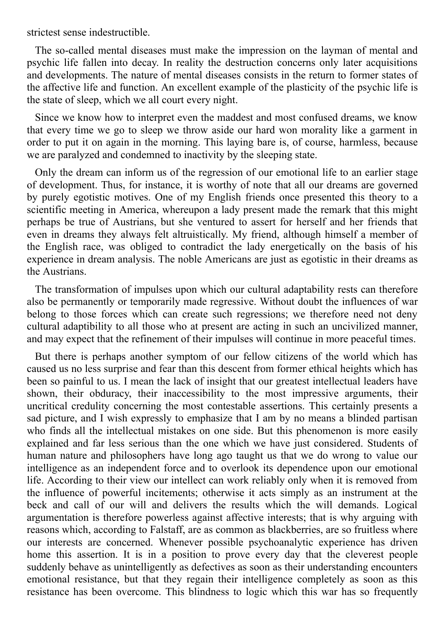strictest sense indestructible.

The so-called mental diseases must make the impression on the layman of mental and psychic life fallen into decay. In reality the destruction concerns only later acquisitions and developments. The nature of mental diseases consists in the return to former states of the affective life and function. An excellent example of the plasticity of the psychic life is the state of sleep, which we all court every night.

Since we know how to interpret even the maddest and most confused dreams, we know that every time we go to sleep we throw aside our hard won morality like a garment in order to put it on again in the morning. This laying bare is, of course, harmless, because we are paralyzed and condemned to inactivity by the sleeping state.

Only the dream can inform us of the regression of our emotional life to an earlier stage of development. Thus, for instance, it is worthy of note that all our dreams are governed by purely egotistic motives. One of my English friends once presented this theory to a scientific meeting in America, whereupon a lady present made the remark that this might perhaps be true of Austrians, but she ventured to assert for herself and her friends that even in dreams they always felt altruistically. My friend, although himself a member of the English race, was obliged to contradict the lady energetically on the basis of his experience in dream analysis. The noble Americans are just as egotistic in their dreams as the Austrians.

The transformation of impulses upon which our cultural adaptability rests can therefore also be permanently or temporarily made regressive. Without doubt the influences of war belong to those forces which can create such regressions; we therefore need not deny cultural adaptibility to all those who at present are acting in such an uncivilized manner, and may expect that the refinement of their impulses will continue in more peaceful times.

But there is perhaps another symptom of our fellow citizens of the world which has caused us no less surprise and fear than this descent from former ethical heights which has been so painful to us. I mean the lack of insight that our greatest intellectual leaders have shown, their obduracy, their inaccessibility to the most impressive arguments, their uncritical credulity concerning the most contestable assertions. This certainly presents a sad picture, and I wish expressly to emphasize that I am by no means a blinded partisan who finds all the intellectual mistakes on one side. But this phenomenon is more easily explained and far less serious than the one which we have just considered. Students of human nature and philosophers have long ago taught us that we do wrong to value our intelligence as an independent force and to overlook its dependence upon our emotional life. According to their view our intellect can work reliably only when it is removed from the influence of powerful incitements; otherwise it acts simply as an instrument at the beck and call of our will and delivers the results which the will demands. Logical argumentation is therefore powerless against affective interests; that is why arguing with reasons which, according to Falstaff, are as common as blackberries, are so fruitless where our interests are concerned. Whenever possible psychoanalytic experience has driven home this assertion. It is in a position to prove every day that the cleverest people suddenly behave as unintelligently as defectives as soon as their understanding encounters emotional resistance, but that they regain their intelligence completely as soon as this resistance has been overcome. This blindness to logic which this war has so frequently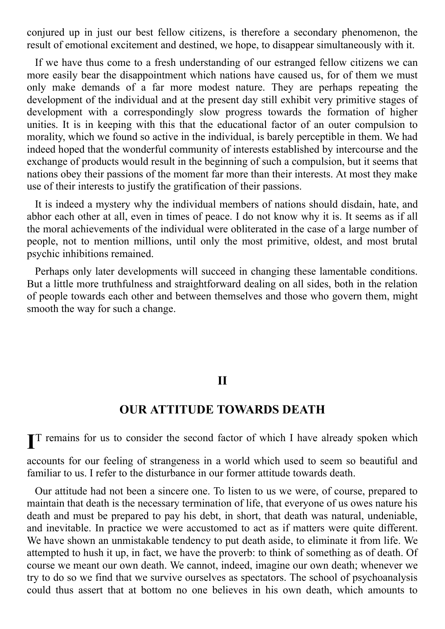conjured up in just our best fellow citizens, is therefore a secondary phenomenon, the result of emotional excitement and destined, we hope, to disappear simultaneously with it.

If we have thus come to a fresh understanding of our estranged fellow citizens we can more easily bear the disappointment which nations have caused us, for of them we must only make demands of a far more modest nature. They are perhaps repeating the development of the individual and at the present day still exhibit very primitive stages of development with a correspondingly slow progress towards the formation of higher unities. It is in keeping with this that the educational factor of an outer compulsion to morality, which we found so active in the individual, is barely perceptible in them. We had indeed hoped that the wonderful community of interests established by intercourse and the exchange of products would result in the beginning of such a compulsion, but it seems that nations obey their passions of the moment far more than their interests. At most they make use of their interests to justify the gratification of their passions.

It is indeed a mystery why the individual members of nations should disdain, hate, and abhor each other at all, even in times of peace. I do not know why it is. It seems as if all the moral achievements of the individual were obliterated in the case of a large number of people, not to mention millions, until only the most primitive, oldest, and most brutal psychic inhibitions remained.

Perhaps only later developments will succeed in changing these lamentable conditions. But a little more truthfulness and straightforward dealing on all sides, both in the relation of people towards each other and between themselves and those who govern them, might smooth the way for such a change.

#### **II**

#### **OUR ATTITUDE TOWARDS DEATH**

**I** T remains for us to consider the second factor of which I have already spoken which

accounts for our feeling of strangeness in a world which used to seem so beautiful and familiar to us. I refer to the disturbance in our former attitude towards death.

Our attitude had not been a sincere one. To listen to us we were, of course, prepared to maintain that death is the necessary termination of life, that everyone of us owes nature his death and must be prepared to pay his debt, in short, that death was natural, undeniable, and inevitable. In practice we were accustomed to act as if matters were quite different. We have shown an unmistakable tendency to put death aside, to eliminate it from life. We attempted to hush it up, in fact, we have the proverb: to think of something as of death. Of course we meant our own death. We cannot, indeed, imagine our own death; whenever we try to do so we find that we survive ourselves as spectators. The school of psychoanalysis could thus assert that at bottom no one believes in his own death, which amounts to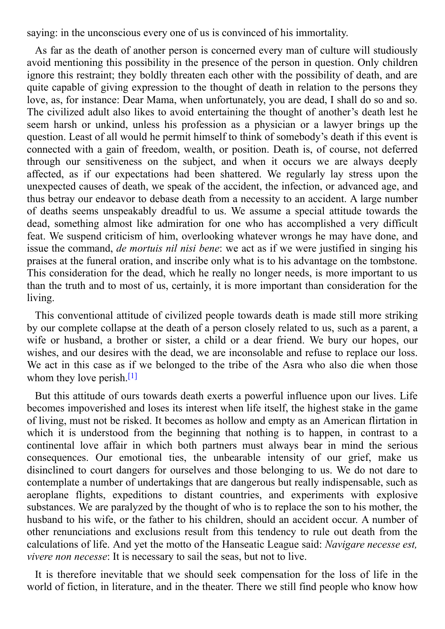saying: in the unconscious every one of us is convinced of his immortality.

As far as the death of another person is concerned every man of culture will studiously avoid mentioning this possibility in the presence of the person in question. Only children ignore this restraint; they boldly threaten each other with the possibility of death, and are quite capable of giving expression to the thought of death in relation to the persons they love, as, for instance: Dear Mama, when unfortunately, you are dead, I shall do so and so. The civilized adult also likes to avoid entertaining the thought of another's death lest he seem harsh or unkind, unless his profession as a physician or a lawyer brings up the question. Least of all would he permit himself to think of somebody's death if this event is connected with a gain of freedom, wealth, or position. Death is, of course, not deferred through our sensitiveness on the subject, and when it occurs we are always deeply affected, as if our expectations had been shattered. We regularly lay stress upon the unexpected causes of death, we speak of the accident, the infection, or advanced age, and thus betray our endeavor to debase death from a necessity to an accident. A large number of deaths seems unspeakably dreadful to us. We assume a special attitude towards the dead, something almost like admiration for one who has accomplished a very difficult feat. We suspend criticism of him, overlooking whatever wrongs he may have done, and issue the command, *de mortuis nil nisi bene*: we act as if we were justified in singing his praises at the funeral oration, and inscribe only what is to his advantage on the tombstone. This consideration for the dead, which he really no longer needs, is more important to us than the truth and to most of us, certainly, it is more important than consideration for the living.

This conventional attitude of civilized people towards death is made still more striking by our complete collapse at the death of a person closely related to us, such as a parent, a wife or husband, a brother or sister, a child or a dear friend. We bury our hopes, our wishes, and our desires with the dead, we are inconsolable and refuse to replace our loss. We act in this case as if we belonged to the tribe of the Asra who also die when those whom they love perish.<sup>[1]</sup>

<span id="page-10-0"></span>But this attitude of ours towards death exerts a powerful influence upon our lives. Life becomes impoverished and loses its interest when life itself, the highest stake in the game of living, must not be risked. It becomes as hollow and empty as an American flirtation in which it is understood from the beginning that nothing is to happen, in contrast to a continental love affair in which both partners must always bear in mind the serious consequences. Our emotional ties, the unbearable intensity of our grief, make us disinclined to court dangers for ourselves and those belonging to us. We do not dare to contemplate a number of undertakings that are dangerous but really indispensable, such as aeroplane flights, expeditions to distant countries, and experiments with explosive substances. We are paralyzed by the thought of who is to replace the son to his mother, the husband to his wife, or the father to his children, should an accident occur. A number of other renunciations and exclusions result from this tendency to rule out death from the calculations of life. And yet the motto of the Hanseatic League said: *Navigare necesse est, vivere non necesse*: It is necessary to sail the seas, but not to live.

It is therefore inevitable that we should seek compensation for the loss of life in the world of fiction, in literature, and in the theater. There we still find people who know how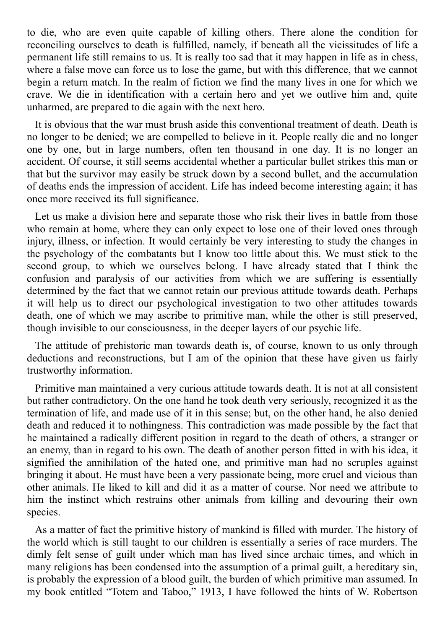to die, who are even quite capable of killing others. There alone the condition for reconciling ourselves to death is fulfilled, namely, if beneath all the vicissitudes of life a permanent life still remains to us. It is really too sad that it may happen in life as in chess, where a false move can force us to lose the game, but with this difference, that we cannot begin a return match. In the realm of fiction we find the many lives in one for which we crave. We die in identification with a certain hero and yet we outlive him and, quite unharmed, are prepared to die again with the next hero.

It is obvious that the war must brush aside this conventional treatment of death. Death is no longer to be denied; we are compelled to believe in it. People really die and no longer one by one, but in large numbers, often ten thousand in one day. It is no longer an accident. Of course, it still seems accidental whether a particular bullet strikes this man or that but the survivor may easily be struck down by a second bullet, and the accumulation of deaths ends the impression of accident. Life has indeed become interesting again; it has once more received its full significance.

Let us make a division here and separate those who risk their lives in battle from those who remain at home, where they can only expect to lose one of their loved ones through injury, illness, or infection. It would certainly be very interesting to study the changes in the psychology of the combatants but I know too little about this. We must stick to the second group, to which we ourselves belong. I have already stated that I think the confusion and paralysis of our activities from which we are suffering is essentially determined by the fact that we cannot retain our previous attitude towards death. Perhaps it will help us to direct our psychological investigation to two other attitudes towards death, one of which we may ascribe to primitive man, while the other is still preserved, though invisible to our consciousness, in the deeper layers of our psychic life.

The attitude of prehistoric man towards death is, of course, known to us only through deductions and reconstructions, but I am of the opinion that these have given us fairly trustworthy information.

Primitive man maintained a very curious attitude towards death. It is not at all consistent but rather contradictory. On the one hand he took death very seriously, recognized it as the termination of life, and made use of it in this sense; but, on the other hand, he also denied death and reduced it to nothingness. This contradiction was made possible by the fact that he maintained a radically different position in regard to the death of others, a stranger or an enemy, than in regard to his own. The death of another person fitted in with his idea, it signified the annihilation of the hated one, and primitive man had no scruples against bringing it about. He must have been a very passionate being, more cruel and vicious than other animals. He liked to kill and did it as a matter of course. Nor need we attribute to him the instinct which restrains other animals from killing and devouring their own species.

As a matter of fact the primitive history of mankind is filled with murder. The history of the world which is still taught to our children is essentially a series of race murders. The dimly felt sense of guilt under which man has lived since archaic times, and which in many religions has been condensed into the assumption of a primal guilt, a hereditary sin, is probably the expression of a blood guilt, the burden of which primitive man assumed. In my book entitled "Totem and Taboo," 1913, I have followed the hints of W. Robertson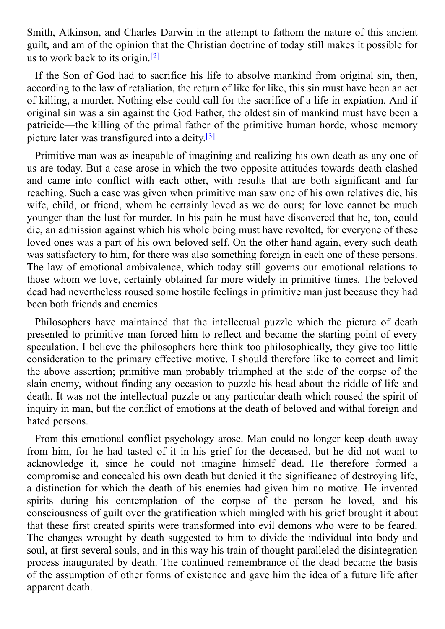Smith, Atkinson, and Charles Darwin in the attempt to fathom the nature of this ancient guilt, and am of the opinion that the Christian doctrine of today still makes it possible for us to work back to its origin. [2]

<span id="page-12-0"></span>If the Son of God had to sacrifice his life to absolve mankind from original sin, then, according to the law of retaliation, the return of like for like, this sin must have been an act of killing, a murder. Nothing else could call for the sacrifice of a life in expiation. And if original sin was a sin against the God Father, the oldest sin of mankind must have been a patricide—the killing of the primal father of the primitive human horde, whose memory picture later was transfigured into a deity. [3]

Primitive man was as incapable of imagining and realizing his own death as any one of us are today. But a case arose in which the two opposite attitudes towards death clashed and came into conflict with each other, with results that are both significant and far reaching. Such a case was given when primitive man saw one of his own relatives die, his wife, child, or friend, whom he certainly loved as we do ours; for love cannot be much younger than the lust for murder. In his pain he must have discovered that he, too, could die, an admission against which his whole being must have revolted, for everyone of these loved ones was a part of his own beloved self. On the other hand again, every such death was satisfactory to him, for there was also something foreign in each one of these persons. The law of emotional ambivalence, which today still governs our emotional relations to those whom we love, certainly obtained far more widely in primitive times. The beloved dead had nevertheless roused some hostile feelings in primitive man just because they had been both friends and enemies.

Philosophers have maintained that the intellectual puzzle which the picture of death presented to primitive man forced him to reflect and became the starting point of every speculation. I believe the philosophers here think too philosophically, they give too little consideration to the primary effective motive. I should therefore like to correct and limit the above assertion; primitive man probably triumphed at the side of the corpse of the slain enemy, without finding any occasion to puzzle his head about the riddle of life and death. It was not the intellectual puzzle or any particular death which roused the spirit of inquiry in man, but the conflict of emotions at the death of beloved and withal foreign and hated persons.

From this emotional conflict psychology arose. Man could no longer keep death away from him, for he had tasted of it in his grief for the deceased, but he did not want to acknowledge it, since he could not imagine himself dead. He therefore formed a compromise and concealed his own death but denied it the significance of destroying life, a distinction for which the death of his enemies had given him no motive. He invented spirits during his contemplation of the corpse of the person he loved, and his consciousness of guilt over the gratification which mingled with his grief brought it about that these first created spirits were transformed into evil demons who were to be feared. The changes wrought by death suggested to him to divide the individual into body and soul, at first several souls, and in this way his train of thought paralleled the disintegration process inaugurated by death. The continued remembrance of the dead became the basis of the assumption of other forms of existence and gave him the idea of a future life after apparent death.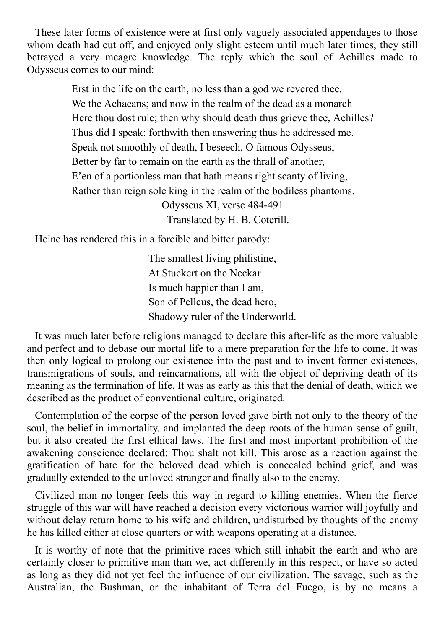These later forms of existence were at first only vaguely associated appendages to those whom death had cut off, and enjoyed only slight esteem until much later times; they still betrayed a very meagre knowledge. The reply which the soul of Achilles made to Odysseus comes to our mind:

> Erst in the life on the earth, no less than a god we revered thee, We the Achaeans; and now in the realm of the dead as a monarch Here thou dost rule; then why should death thus grieve thee, Achilles? Thus did I speak: forthwith then answering thus he addressed me. Speak not smoothly of death, I beseech, O famous Odysseus, Better by far to remain on the earth as the thrall of another, E'en of a portionless man that hath means right scanty of living, Rather than reign sole king in the realm of the bodiless phantoms.

Odysseus XI, verse 484-491 Translated by H. B. Coterill.

Heine has rendered this in a forcible and bitter parody:

The smallest living philistine, At Stuckert on the Neckar Is much happier than I am, Son of Pelleus, the dead hero, Shadowy ruler of the Underworld.

It was much later before religions managed to declare this after-life as the more valuable and perfect and to debase our mortal life to a mere preparation for the life to come. It was then only logical to prolong our existence into the past and to invent former existences, transmigrations of souls, and reincarnations, all with the object of depriving death of its meaning as the termination of life. It was as early as this that the denial of death, which we described as the product of conventional culture, originated.

Contemplation of the corpse of the person loved gave birth not only to the theory of the soul, the belief in immortality, and implanted the deep roots of the human sense of guilt, but it also created the first ethical laws. The first and most important prohibition of the awakening conscience declared: Thou shalt not kill. This arose as a reaction against the gratification of hate for the beloved dead which is concealed behind grief, and was gradually extended to the unloved stranger and finally also to the enemy.

Civilized man no longer feels this way in regard to killing enemies. When the fierce struggle of this war will have reached a decision every victorious warrior will joyfully and without delay return home to his wife and children, undisturbed by thoughts of the enemy he has killed either at close quarters or with weapons operating at a distance.

It is worthy of note that the primitive races which still inhabit the earth and who are certainly closer to primitive man than we, act differently in this respect, or have so acted as long as they did not yet feel the influence of our civilization. The savage, such as the Australian, the Bushman, or the inhabitant of Terra del Fuego, is by no means a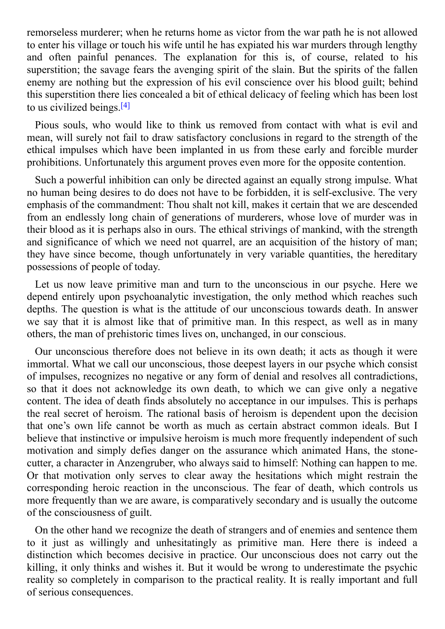remorseless murderer; when he returns home as victor from the war path he is not allowed to enter his village or touch his wife until he has expiated his war murders through lengthy and often painful penances. The explanation for this is, of course, related to his superstition; the savage fears the avenging spirit of the slain. But the spirits of the fallen enemy are nothing but the expression of his evil conscience over his blood guilt; behind this superstition there lies concealed a bit of ethical delicacy of feeling which has been lost to us civilized beings. [4]

Pious souls, who would like to think us removed from contact with what is evil and mean, will surely not fail to draw satisfactory conclusions in regard to the strength of the ethical impulses which have been implanted in us from these early and forcible murder prohibitions. Unfortunately this argument proves even more for the opposite contention.

Such a powerful inhibition can only be directed against an equally strong impulse. What no human being desires to do does not have to be forbidden, it is self-exclusive. The very emphasis of the commandment: Thou shalt not kill, makes it certain that we are descended from an endlessly long chain of generations of murderers, whose love of murder was in their blood as it is perhaps also in ours. The ethical strivings of mankind, with the strength and significance of which we need not quarrel, are an acquisition of the history of man; they have since become, though unfortunately in very variable quantities, the hereditary possessions of people of today.

Let us now leave primitive man and turn to the unconscious in our psyche. Here we depend entirely upon psychoanalytic investigation, the only method which reaches such depths. The question is what is the attitude of our unconscious towards death. In answer we say that it is almost like that of primitive man. In this respect, as well as in many others, the man of prehistoric times lives on, unchanged, in our conscious.

Our unconscious therefore does not believe in its own death; it acts as though it were immortal. What we call our unconscious, those deepest layers in our psyche which consist of impulses, recognizes no negative or any form of denial and resolves all contradictions, so that it does not acknowledge its own death, to which we can give only a negative content. The idea of death finds absolutely no acceptance in our impulses. This is perhaps the real secret of heroism. The rational basis of heroism is dependent upon the decision that one's own life cannot be worth as much as certain abstract common ideals. But I believe that instinctive or impulsive heroism is much more frequently independent of such motivation and simply defies danger on the assurance which animated Hans, the stonecutter, a character in Anzengruber, who always said to himself: Nothing can happen to me. Or that motivation only serves to clear away the hesitations which might restrain the corresponding heroic reaction in the unconscious. The fear of death, which controls us more frequently than we are aware, is comparatively secondary and is usually the outcome of the consciousness of guilt.

On the other hand we recognize the death of strangers and of enemies and sentence them to it just as willingly and unhesitatingly as primitive man. Here there is indeed a distinction which becomes decisive in practice. Our unconscious does not carry out the killing, it only thinks and wishes it. But it would be wrong to underestimate the psychic reality so completely in comparison to the practical reality. It is really important and full of serious consequences.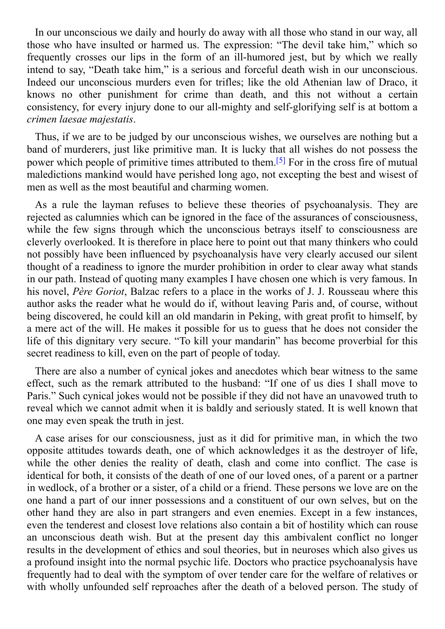In our unconscious we daily and hourly do away with all those who stand in our way, all those who have insulted or harmed us. The expression: "The devil take him," which so frequently crosses our lips in the form of an ill-humored jest, but by which we really intend to say, "Death take him," is a serious and forceful death wish in our unconscious. Indeed our unconscious murders even for trifles; like the old Athenian law of Draco, it knows no other punishment for crime than death, and this not without a certain consistency, for every injury done to our all-mighty and self-glorifying self is at bottom a *crimen laesae majestatis*.

Thus, if we are to be judged by our unconscious wishes, we ourselves are nothing but a band of murderers, just like primitive man. It is lucky that all wishes do not possess the power which people of primitive times attributed to them.<sup>[5]</sup> For in the cross fire of mutual maledictions mankind would have perished long ago, not excepting the best and wisest of men as well as the most beautiful and charming women.

As a rule the layman refuses to believe these theories of psychoanalysis. They are rejected as calumnies which can be ignored in the face of the assurances of consciousness, while the few signs through which the unconscious betrays itself to consciousness are cleverly overlooked. It is therefore in place here to point out that many thinkers who could not possibly have been influenced by psychoanalysis have very clearly accused our silent thought of a readiness to ignore the murder prohibition in order to clear away what stands in our path. Instead of quoting many examples I have chosen one which is very famous. In his novel, *Père Goriot*, Balzac refers to a place in the works of J. J. Rousseau where this author asks the reader what he would do if, without leaving Paris and, of course, without being discovered, he could kill an old mandarin in Peking, with great profit to himself, by a mere act of the will. He makes it possible for us to guess that he does not consider the life of this dignitary very secure. "To kill your mandarin" has become proverbial for this secret readiness to kill, even on the part of people of today.

There are also a number of cynical jokes and anecdotes which bear witness to the same effect, such as the remark attributed to the husband: "If one of us dies I shall move to Paris." Such cynical jokes would not be possible if they did not have an unavowed truth to reveal which we cannot admit when it is baldly and seriously stated. It is well known that one may even speak the truth in jest.

A case arises for our consciousness, just as it did for primitive man, in which the two opposite attitudes towards death, one of which acknowledges it as the destroyer of life, while the other denies the reality of death, clash and come into conflict. The case is identical for both, it consists of the death of one of our loved ones, of a parent or a partner in wedlock, of a brother or a sister, of a child or a friend. These persons we love are on the one hand a part of our inner possessions and a constituent of our own selves, but on the other hand they are also in part strangers and even enemies. Except in a few instances, even the tenderest and closest love relations also contain a bit of hostility which can rouse an unconscious death wish. But at the present day this ambivalent conflict no longer results in the development of ethics and soul theories, but in neuroses which also gives us a profound insight into the normal psychic life. Doctors who practice psychoanalysis have frequently had to deal with the symptom of over tender care for the welfare of relatives or with wholly unfounded self reproaches after the death of a beloved person. The study of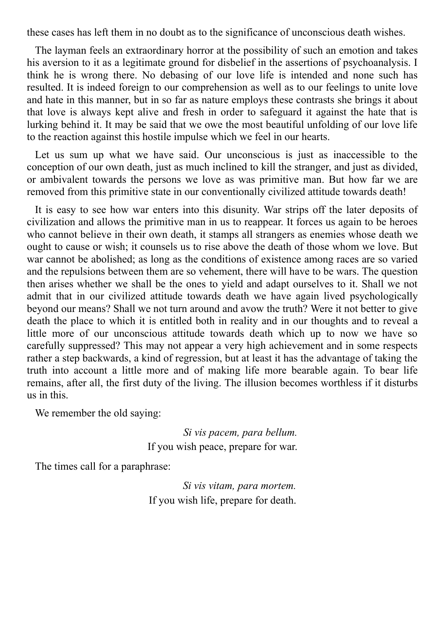these cases has left them in no doubt as to the significance of unconscious death wishes.

The layman feels an extraordinary horror at the possibility of such an emotion and takes his aversion to it as a legitimate ground for disbelief in the assertions of psychoanalysis. I think he is wrong there. No debasing of our love life is intended and none such has resulted. It is indeed foreign to our comprehension as well as to our feelings to unite love and hate in this manner, but in so far as nature employs these contrasts she brings it about that love is always kept alive and fresh in order to safeguard it against the hate that is lurking behind it. It may be said that we owe the most beautiful unfolding of our love life to the reaction against this hostile impulse which we feel in our hearts.

Let us sum up what we have said. Our unconscious is just as inaccessible to the conception of our own death, just as much inclined to kill the stranger, and just as divided, or ambivalent towards the persons we love as was primitive man. But how far we are removed from this primitive state in our conventionally civilized attitude towards death!

It is easy to see how war enters into this disunity. War strips off the later deposits of civilization and allows the primitive man in us to reappear. It forces us again to be heroes who cannot believe in their own death, it stamps all strangers as enemies whose death we ought to cause or wish; it counsels us to rise above the death of those whom we love. But war cannot be abolished; as long as the conditions of existence among races are so varied and the repulsions between them are so vehement, there will have to be wars. The question then arises whether we shall be the ones to yield and adapt ourselves to it. Shall we not admit that in our civilized attitude towards death we have again lived psychologically beyond our means? Shall we not turn around and avow the truth? Were it not better to give death the place to which it is entitled both in reality and in our thoughts and to reveal a little more of our unconscious attitude towards death which up to now we have so carefully suppressed? This may not appear a very high achievement and in some respects rather a step backwards, a kind of regression, but at least it has the advantage of taking the truth into account a little more and of making life more bearable again. To bear life remains, after all, the first duty of the living. The illusion becomes worthless if it disturbs us in this.

We remember the old saying:

*Si vis pacem, para bellum.* If you wish peace, prepare for war.

The times call for a paraphrase:

*Si vis vitam, para mortem.* If you wish life, prepare for death.